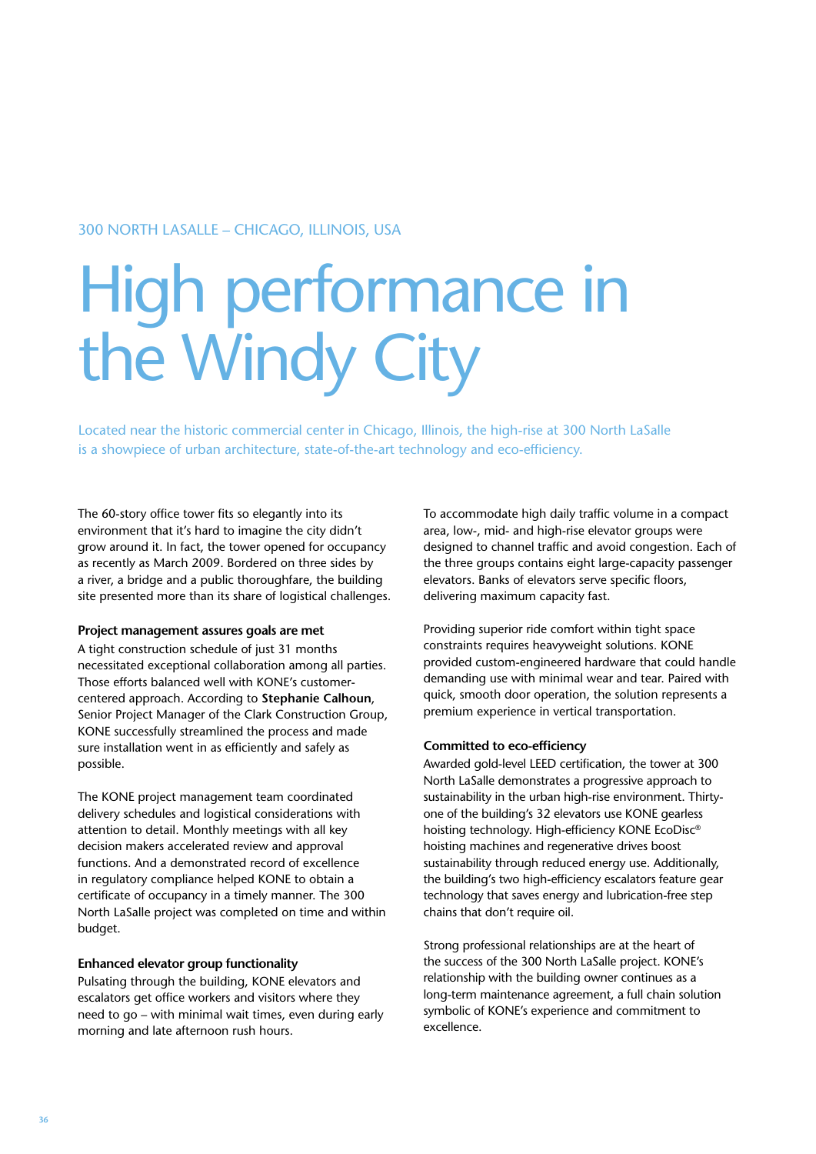### 300 North LaSalle – Chicago, Illinois, USA

# High performance in the Windy City

Located near the historic commercial center in Chicago, Illinois, the high-rise at 300 North LaSalle is a showpiece of urban architecture, state-of-the-art technology and eco-efficiency.

The 60-story office tower fits so elegantly into its environment that it's hard to imagine the city didn't grow around it. In fact, the tower opened for occupancy as recently as March 2009. Bordered on three sides by a river, a bridge and a public thoroughfare, the building site presented more than its share of logistical challenges.

#### **Project management assures goals are met**

A tight construction schedule of just 31 months necessitated exceptional collaboration among all parties. Those efforts balanced well with KONE's customercentered approach. According to **Stephanie Calhoun**, Senior Project Manager of the Clark Construction Group, KONE successfully streamlined the process and made sure installation went in as efficiently and safely as possible.

The KONE project management team coordinated delivery schedules and logistical considerations with attention to detail. Monthly meetings with all key decision makers accelerated review and approval functions. And a demonstrated record of excellence in regulatory compliance helped KONE to obtain a certificate of occupancy in a timely manner. The 300 North LaSalle project was completed on time and within budget.

#### **Enhanced elevator group functionality**

Pulsating through the building, KONE elevators and escalators get office workers and visitors where they need to go – with minimal wait times, even during early morning and late afternoon rush hours.

To accommodate high daily traffic volume in a compact area, low-, mid- and high-rise elevator groups were designed to channel traffic and avoid congestion. Each of the three groups contains eight large-capacity passenger elevators. Banks of elevators serve specific floors, delivering maximum capacity fast.

Providing superior ride comfort within tight space constraints requires heavyweight solutions. KONE provided custom-engineered hardware that could handle demanding use with minimal wear and tear. Paired with quick, smooth door operation, the solution represents a premium experience in vertical transportation.

#### **Committed to eco-efficiency**

Awarded gold-level LEED certification, the tower at 300 North LaSalle demonstrates a progressive approach to sustainability in the urban high-rise environment. Thirtyone of the building's 32 elevators use KONE gearless hoisting technology. High-efficiency KONE EcoDisc® hoisting machines and regenerative drives boost sustainability through reduced energy use. Additionally, the building's two high-efficiency escalators feature gear technology that saves energy and lubrication-free step chains that don't require oil.

Strong professional relationships are at the heart of the success of the 300 North LaSalle project. KONE's relationship with the building owner continues as a long-term maintenance agreement, a full chain solution symbolic of KONE's experience and commitment to excellence.